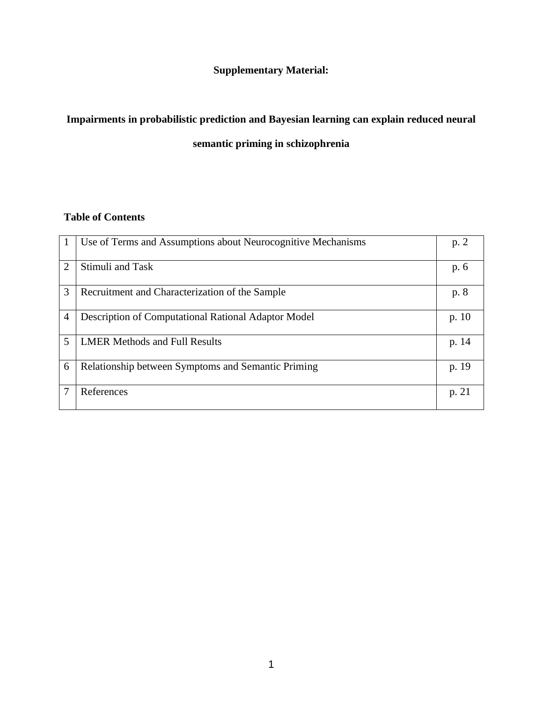# **Supplementary Material:**

# **Impairments in probabilistic prediction and Bayesian learning can explain reduced neural**

## **semantic priming in schizophrenia**

## **Table of Contents**

|                             | Use of Terms and Assumptions about Neurocognitive Mechanisms | p. 2    |
|-----------------------------|--------------------------------------------------------------|---------|
| $\mathcal{D}_{\mathcal{L}}$ | Stimuli and Task                                             | p. 6    |
| 3                           | Recruitment and Characterization of the Sample               | p. 8    |
| 4                           | Description of Computational Rational Adaptor Model          | p. $10$ |
| 5                           | <b>LMER Methods and Full Results</b>                         | p. 14   |
| 6                           | Relationship between Symptoms and Semantic Priming           | p. 19   |
|                             | References                                                   | p. 21   |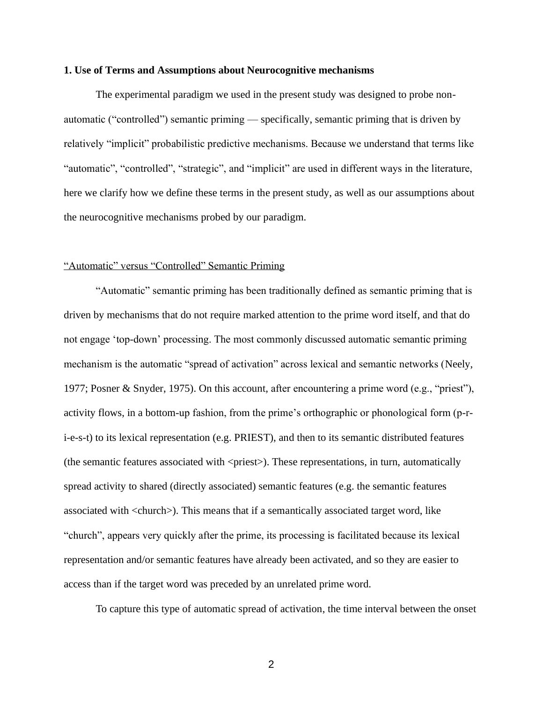#### **1. Use of Terms and Assumptions about Neurocognitive mechanisms**

The experimental paradigm we used in the present study was designed to probe nonautomatic ("controlled") semantic priming — specifically, semantic priming that is driven by relatively "implicit" probabilistic predictive mechanisms. Because we understand that terms like "automatic", "controlled", "strategic", and "implicit" are used in different ways in the literature, here we clarify how we define these terms in the present study, as well as our assumptions about the neurocognitive mechanisms probed by our paradigm.

### "Automatic" versus "Controlled" Semantic Priming

"Automatic" semantic priming has been traditionally defined as semantic priming that is driven by mechanisms that do not require marked attention to the prime word itself, and that do not engage 'top-down' processing. The most commonly discussed automatic semantic priming mechanism is the automatic "spread of activation" across lexical and semantic networks (Neely, 1977; Posner & Snyder, 1975). On this account, after encountering a prime word (e.g., "priest"), activity flows, in a bottom-up fashion, from the prime's orthographic or phonological form (p-ri-e-s-t) to its lexical representation (e.g. PRIEST), and then to its semantic distributed features (the semantic features associated with  $\langle\text{priest}\rangle$ ). These representations, in turn, automatically spread activity to shared (directly associated) semantic features (e.g. the semantic features associated with <church>). This means that if a semantically associated target word, like "church", appears very quickly after the prime, its processing is facilitated because its lexical representation and/or semantic features have already been activated, and so they are easier to access than if the target word was preceded by an unrelated prime word.

To capture this type of automatic spread of activation, the time interval between the onset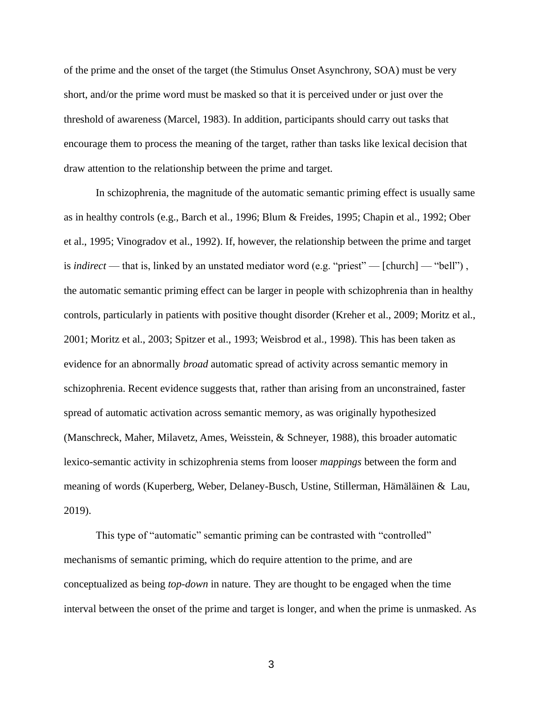of the prime and the onset of the target (the Stimulus Onset Asynchrony, SOA) must be very short, and/or the prime word must be masked so that it is perceived under or just over the threshold of awareness (Marcel, 1983). In addition, participants should carry out tasks that encourage them to process the meaning of the target, rather than tasks like lexical decision that draw attention to the relationship between the prime and target.

In schizophrenia, the magnitude of the automatic semantic priming effect is usually same as in healthy controls (e.g., Barch et al., 1996; Blum & Freides, 1995; Chapin et al., 1992; Ober et al., 1995; Vinogradov et al., 1992). If, however, the relationship between the prime and target is *indirect* — that is, linked by an unstated mediator word (e.g. "priest" — [church] — "bell"), the automatic semantic priming effect can be larger in people with schizophrenia than in healthy controls, particularly in patients with positive thought disorder (Kreher et al., 2009; Moritz et al., 2001; Moritz et al., 2003; Spitzer et al., 1993; Weisbrod et al., 1998). This has been taken as evidence for an abnormally *broad* automatic spread of activity across semantic memory in schizophrenia. Recent evidence suggests that, rather than arising from an unconstrained, faster spread of automatic activation across semantic memory, as was originally hypothesized (Manschreck, Maher, Milavetz, Ames, Weisstein, & Schneyer, 1988), this broader automatic lexico-semantic activity in schizophrenia stems from looser *mappings* between the form and meaning of words (Kuperberg, Weber, Delaney-Busch, Ustine, Stillerman, Hämäläinen & Lau, 2019).

This type of "automatic" semantic priming can be contrasted with "controlled" mechanisms of semantic priming, which do require attention to the prime, and are conceptualized as being *top-down* in nature. They are thought to be engaged when the time interval between the onset of the prime and target is longer, and when the prime is unmasked. As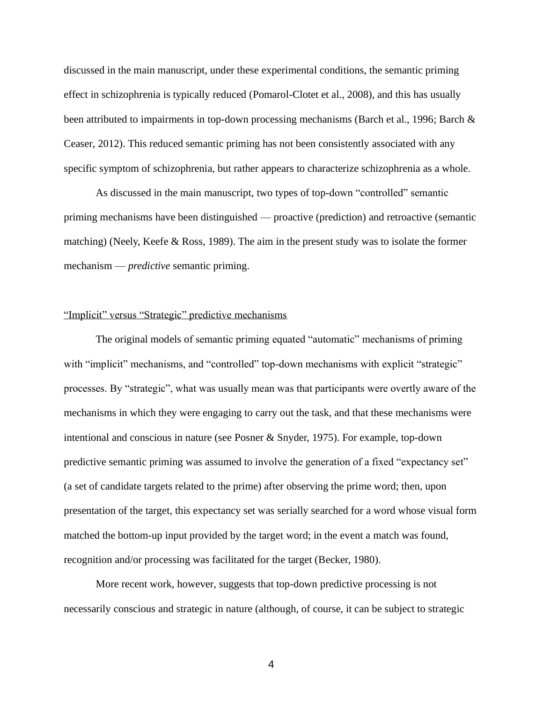discussed in the main manuscript, under these experimental conditions, the semantic priming effect in schizophrenia is typically reduced (Pomarol-Clotet et al., 2008), and this has usually been attributed to impairments in top-down processing mechanisms (Barch et al., 1996; Barch & Ceaser, 2012). This reduced semantic priming has not been consistently associated with any specific symptom of schizophrenia, but rather appears to characterize schizophrenia as a whole.

As discussed in the main manuscript, two types of top-down "controlled" semantic priming mechanisms have been distinguished — proactive (prediction) and retroactive (semantic matching) (Neely, Keefe & Ross, 1989). The aim in the present study was to isolate the former mechanism — *predictive* semantic priming.

#### "Implicit" versus "Strategic" predictive mechanisms

The original models of semantic priming equated "automatic" mechanisms of priming with "implicit" mechanisms, and "controlled" top-down mechanisms with explicit "strategic" processes. By "strategic", what was usually mean was that participants were overtly aware of the mechanisms in which they were engaging to carry out the task, and that these mechanisms were intentional and conscious in nature (see Posner & Snyder, 1975). For example, top-down predictive semantic priming was assumed to involve the generation of a fixed "expectancy set" (a set of candidate targets related to the prime) after observing the prime word; then, upon presentation of the target, this expectancy set was serially searched for a word whose visual form matched the bottom-up input provided by the target word; in the event a match was found, recognition and/or processing was facilitated for the target (Becker, 1980).

More recent work, however, suggests that top-down predictive processing is not necessarily conscious and strategic in nature (although, of course, it can be subject to strategic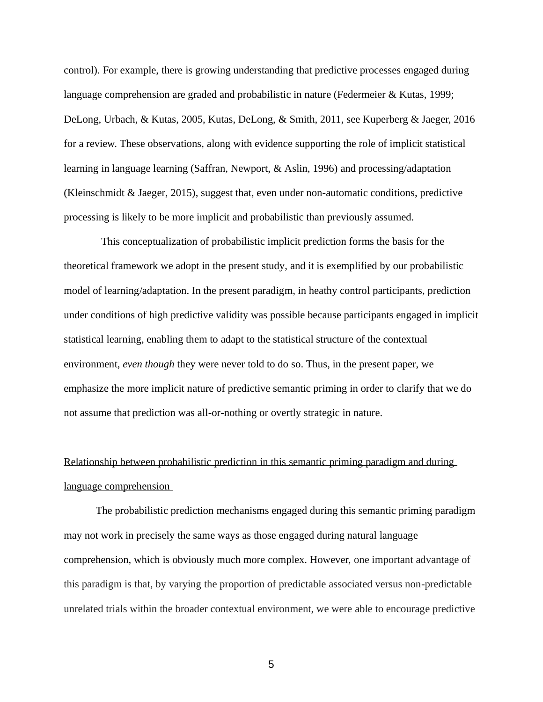control). For example, there is growing understanding that predictive processes engaged during language comprehension are graded and probabilistic in nature (Federmeier & Kutas, 1999; DeLong, Urbach, & Kutas, 2005, Kutas, DeLong, & Smith, 2011, see Kuperberg & Jaeger, 2016 for a review. These observations, along with evidence supporting the role of implicit statistical learning in language learning (Saffran, Newport, & Aslin, 1996) and processing/adaptation (Kleinschmidt & Jaeger, 2015), suggest that, even under non-automatic conditions, predictive processing is likely to be more implicit and probabilistic than previously assumed.

 This conceptualization of probabilistic implicit prediction forms the basis for the theoretical framework we adopt in the present study, and it is exemplified by our probabilistic model of learning/adaptation. In the present paradigm, in heathy control participants, prediction under conditions of high predictive validity was possible because participants engaged in implicit statistical learning, enabling them to adapt to the statistical structure of the contextual environment, *even though* they were never told to do so. Thus, in the present paper, we emphasize the more implicit nature of predictive semantic priming in order to clarify that we do not assume that prediction was all-or-nothing or overtly strategic in nature.

# Relationship between probabilistic prediction in this semantic priming paradigm and during language comprehension

The probabilistic prediction mechanisms engaged during this semantic priming paradigm may not work in precisely the same ways as those engaged during natural language comprehension, which is obviously much more complex. However, one important advantage of this paradigm is that, by varying the proportion of predictable associated versus non-predictable unrelated trials within the broader contextual environment, we were able to encourage predictive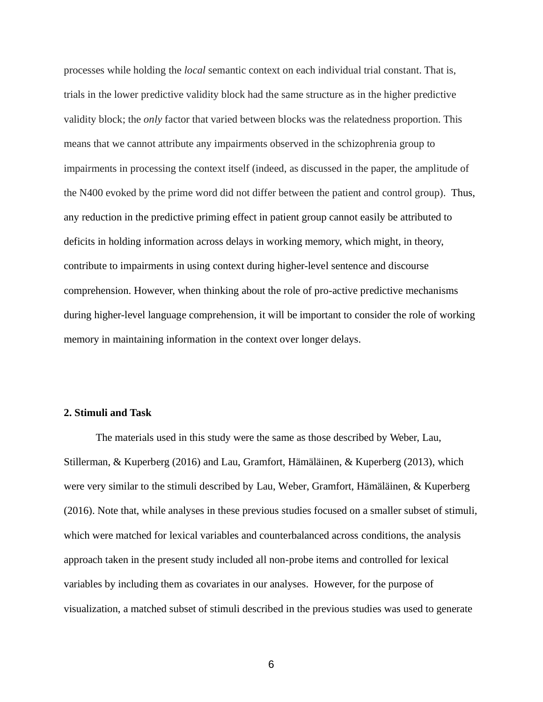processes while holding the *local* semantic context on each individual trial constant. That is, trials in the lower predictive validity block had the same structure as in the higher predictive validity block; the *only* factor that varied between blocks was the relatedness proportion. This means that we cannot attribute any impairments observed in the schizophrenia group to impairments in processing the context itself (indeed, as discussed in the paper, the amplitude of the N400 evoked by the prime word did not differ between the patient and control group). Thus, any reduction in the predictive priming effect in patient group cannot easily be attributed to deficits in holding information across delays in working memory, which might, in theory, contribute to impairments in using context during higher-level sentence and discourse comprehension. However, when thinking about the role of pro-active predictive mechanisms during higher-level language comprehension, it will be important to consider the role of working memory in maintaining information in the context over longer delays.

#### **2. Stimuli and Task**

The materials used in this study were the same as those described by Weber, Lau, Stillerman, & Kuperberg (2016) and Lau, Gramfort, Hämäläinen, & Kuperberg (2013), which were very similar to the stimuli described by Lau, Weber, Gramfort, Hämäläinen, & Kuperberg (2016). Note that, while analyses in these previous studies focused on a smaller subset of stimuli, which were matched for lexical variables and counterbalanced across conditions, the analysis approach taken in the present study included all non-probe items and controlled for lexical variables by including them as covariates in our analyses. However, for the purpose of visualization, a matched subset of stimuli described in the previous studies was used to generate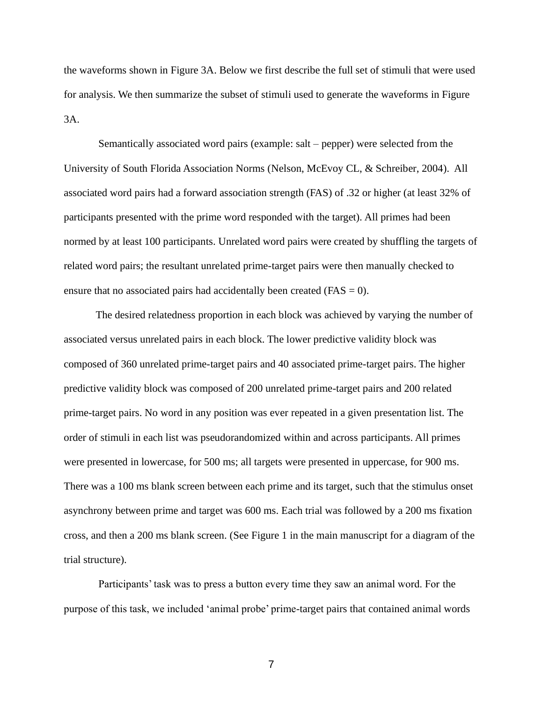the waveforms shown in Figure 3A. Below we first describe the full set of stimuli that were used for analysis. We then summarize the subset of stimuli used to generate the waveforms in Figure 3A.

Semantically associated word pairs (example: salt – pepper) were selected from the University of South Florida Association Norms (Nelson, McEvoy CL, & Schreiber, 2004). All associated word pairs had a forward association strength (FAS) of .32 or higher (at least 32% of participants presented with the prime word responded with the target). All primes had been normed by at least 100 participants. Unrelated word pairs were created by shuffling the targets of related word pairs; the resultant unrelated prime-target pairs were then manually checked to ensure that no associated pairs had accidentally been created ( $FAS = 0$ ).

The desired relatedness proportion in each block was achieved by varying the number of associated versus unrelated pairs in each block. The lower predictive validity block was composed of 360 unrelated prime-target pairs and 40 associated prime-target pairs. The higher predictive validity block was composed of 200 unrelated prime-target pairs and 200 related prime-target pairs. No word in any position was ever repeated in a given presentation list. The order of stimuli in each list was pseudorandomized within and across participants. All primes were presented in lowercase, for 500 ms; all targets were presented in uppercase, for 900 ms. There was a 100 ms blank screen between each prime and its target, such that the stimulus onset asynchrony between prime and target was 600 ms. Each trial was followed by a 200 ms fixation cross, and then a 200 ms blank screen. (See Figure 1 in the main manuscript for a diagram of the trial structure).

Participants' task was to press a button every time they saw an animal word. For the purpose of this task, we included 'animal probe' prime-target pairs that contained animal words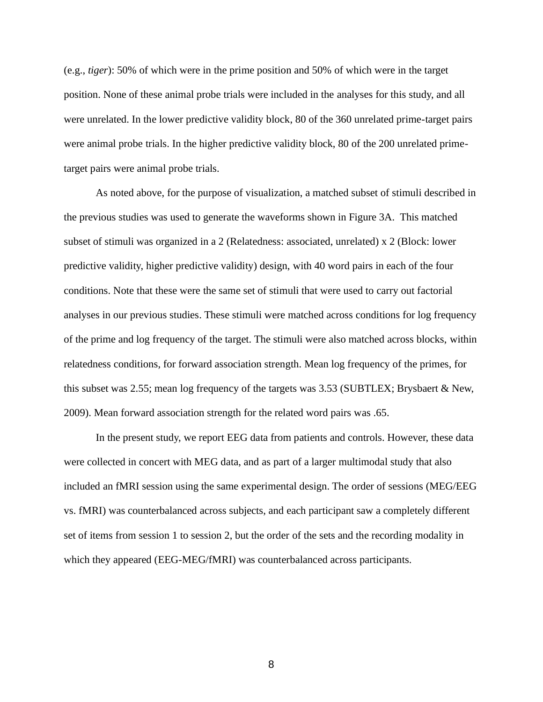(e.g., *tiger*): 50% of which were in the prime position and 50% of which were in the target position. None of these animal probe trials were included in the analyses for this study, and all were unrelated. In the lower predictive validity block, 80 of the 360 unrelated prime-target pairs were animal probe trials. In the higher predictive validity block, 80 of the 200 unrelated primetarget pairs were animal probe trials.

As noted above, for the purpose of visualization, a matched subset of stimuli described in the previous studies was used to generate the waveforms shown in Figure 3A. This matched subset of stimuli was organized in a 2 (Relatedness: associated, unrelated) x 2 (Block: lower predictive validity, higher predictive validity) design, with 40 word pairs in each of the four conditions. Note that these were the same set of stimuli that were used to carry out factorial analyses in our previous studies. These stimuli were matched across conditions for log frequency of the prime and log frequency of the target. The stimuli were also matched across blocks, within relatedness conditions, for forward association strength. Mean log frequency of the primes, for this subset was 2.55; mean log frequency of the targets was 3.53 (SUBTLEX; Brysbaert & New, 2009). Mean forward association strength for the related word pairs was .65.

In the present study, we report EEG data from patients and controls. However, these data were collected in concert with MEG data, and as part of a larger multimodal study that also included an fMRI session using the same experimental design. The order of sessions (MEG/EEG vs. fMRI) was counterbalanced across subjects, and each participant saw a completely different set of items from session 1 to session 2, but the order of the sets and the recording modality in which they appeared (EEG-MEG/fMRI) was counterbalanced across participants.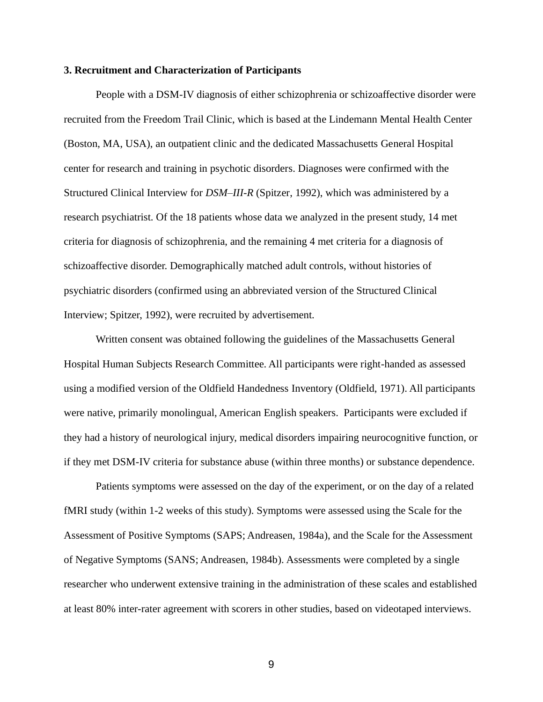#### **3. Recruitment and Characterization of Participants**

People with a DSM-IV diagnosis of either schizophrenia or schizoaffective disorder were recruited from the Freedom Trail Clinic, which is based at the Lindemann Mental Health Center (Boston, MA, USA), an outpatient clinic and the dedicated Massachusetts General Hospital center for research and training in psychotic disorders. Diagnoses were confirmed with the Structured Clinical Interview for *DSM–III-R* (Spitzer, 1992), which was administered by a research psychiatrist. Of the 18 patients whose data we analyzed in the present study, 14 met criteria for diagnosis of schizophrenia, and the remaining 4 met criteria for a diagnosis of schizoaffective disorder. Demographically matched adult controls, without histories of psychiatric disorders (confirmed using an abbreviated version of the Structured Clinical Interview; Spitzer, 1992), were recruited by advertisement.

Written consent was obtained following the guidelines of the Massachusetts General Hospital Human Subjects Research Committee. All participants were right-handed as assessed using a modified version of the Oldfield Handedness Inventory (Oldfield, 1971). All participants were native, primarily monolingual, American English speakers. Participants were excluded if they had a history of neurological injury, medical disorders impairing neurocognitive function, or if they met DSM-IV criteria for substance abuse (within three months) or substance dependence.

Patients symptoms were assessed on the day of the experiment, or on the day of a related fMRI study (within 1-2 weeks of this study). Symptoms were assessed using the Scale for the Assessment of Positive Symptoms (SAPS; Andreasen, 1984a), and the Scale for the Assessment of Negative Symptoms (SANS; Andreasen, 1984b). Assessments were completed by a single researcher who underwent extensive training in the administration of these scales and established at least 80% inter-rater agreement with scorers in other studies, based on videotaped interviews.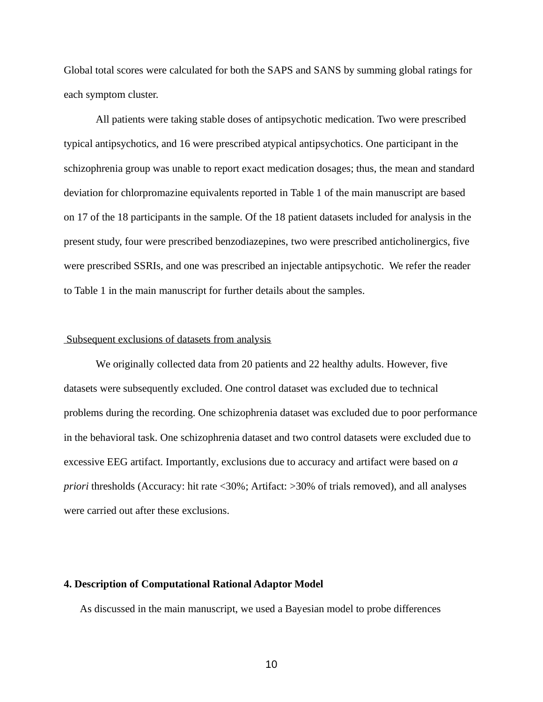Global total scores were calculated for both the SAPS and SANS by summing global ratings for each symptom cluster.

All patients were taking stable doses of antipsychotic medication. Two were prescribed typical antipsychotics, and 16 were prescribed atypical antipsychotics. One participant in the schizophrenia group was unable to report exact medication dosages; thus, the mean and standard deviation for chlorpromazine equivalents reported in Table 1 of the main manuscript are based on 17 of the 18 participants in the sample. Of the 18 patient datasets included for analysis in the present study, four were prescribed benzodiazepines, two were prescribed anticholinergics, five were prescribed SSRIs, and one was prescribed an injectable antipsychotic. We refer the reader to Table 1 in the main manuscript for further details about the samples.

#### Subsequent exclusions of datasets from analysis

We originally collected data from 20 patients and 22 healthy adults. However, five datasets were subsequently excluded. One control dataset was excluded due to technical problems during the recording. One schizophrenia dataset was excluded due to poor performance in the behavioral task. One schizophrenia dataset and two control datasets were excluded due to excessive EEG artifact. Importantly, exclusions due to accuracy and artifact were based on *a priori* thresholds (Accuracy: hit rate <30%; Artifact: >30% of trials removed), and all analyses were carried out after these exclusions.

### **4. Description of Computational Rational Adaptor Model**

As discussed in the main manuscript, we used a Bayesian model to probe differences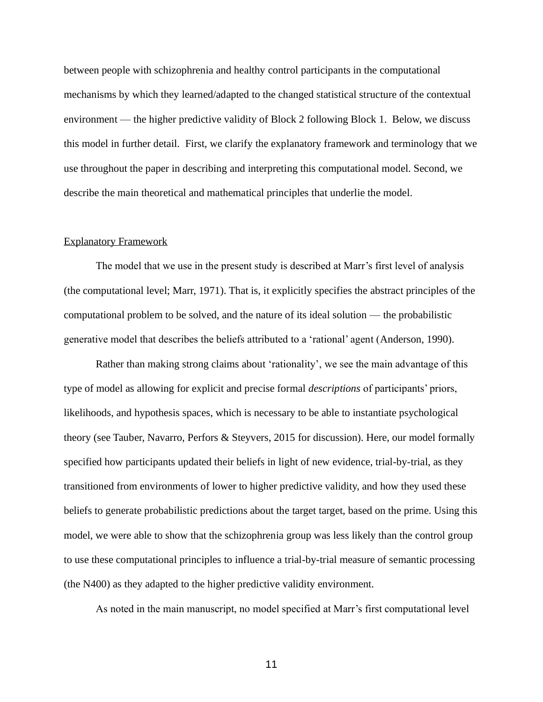between people with schizophrenia and healthy control participants in the computational mechanisms by which they learned/adapted to the changed statistical structure of the contextual environment — the higher predictive validity of Block 2 following Block 1. Below, we discuss this model in further detail. First, we clarify the explanatory framework and terminology that we use throughout the paper in describing and interpreting this computational model. Second, we describe the main theoretical and mathematical principles that underlie the model.

#### Explanatory Framework

The model that we use in the present study is described at Marr's first level of analysis (the computational level; Marr, 1971). That is, it explicitly specifies the abstract principles of the computational problem to be solved, and the nature of its ideal solution — the probabilistic generative model that describes the beliefs attributed to a 'rational' agent (Anderson, 1990).

Rather than making strong claims about 'rationality', we see the main advantage of this type of model as allowing for explicit and precise formal *descriptions* of participants' priors, likelihoods, and hypothesis spaces, which is necessary to be able to instantiate psychological theory (see Tauber, Navarro, Perfors & Steyvers, 2015 for discussion). Here, our model formally specified how participants updated their beliefs in light of new evidence, trial-by-trial, as they transitioned from environments of lower to higher predictive validity, and how they used these beliefs to generate probabilistic predictions about the target target, based on the prime. Using this model, we were able to show that the schizophrenia group was less likely than the control group to use these computational principles to influence a trial-by-trial measure of semantic processing (the N400) as they adapted to the higher predictive validity environment.

As noted in the main manuscript, no model specified at Marr's first computational level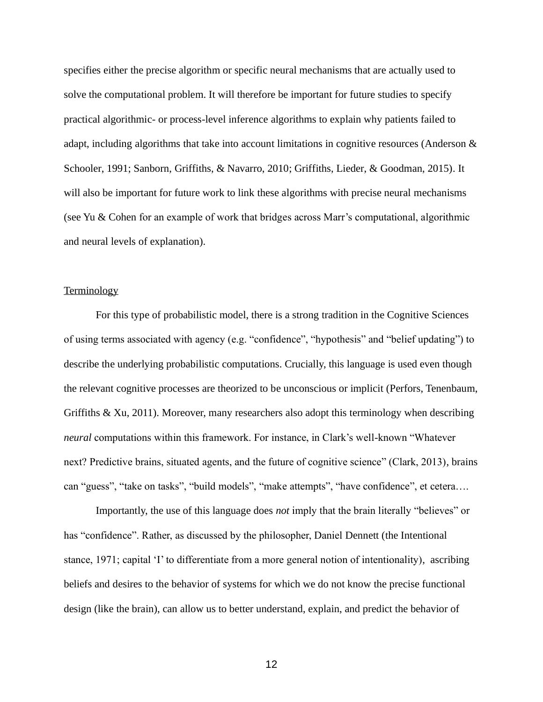specifies either the precise algorithm or specific neural mechanisms that are actually used to solve the computational problem. It will therefore be important for future studies to specify practical algorithmic- or process-level inference algorithms to explain why patients failed to adapt, including algorithms that take into account limitations in cognitive resources (Anderson & Schooler, 1991; Sanborn, Griffiths, & Navarro, 2010; Griffiths, Lieder, & Goodman, 2015). It will also be important for future work to link these algorithms with precise neural mechanisms (see Yu & Cohen for an example of work that bridges across Marr's computational, algorithmic and neural levels of explanation).

#### **Terminology**

For this type of probabilistic model, there is a strong tradition in the Cognitive Sciences of using terms associated with agency (e.g. "confidence", "hypothesis" and "belief updating") to describe the underlying probabilistic computations. Crucially, this language is used even though the relevant cognitive processes are theorized to be unconscious or implicit (Perfors, Tenenbaum, Griffiths & Xu, 2011). Moreover, many researchers also adopt this terminology when describing *neural* computations within this framework. For instance, in Clark's well-known "Whatever next? Predictive brains, situated agents, and the future of cognitive science" (Clark, 2013), brains can "guess", "take on tasks", "build models", "make attempts", "have confidence", et cetera….

Importantly, the use of this language does *not* imply that the brain literally "believes" or has "confidence". Rather, as discussed by the philosopher, Daniel Dennett (the Intentional stance, 1971; capital 'I' to differentiate from a more general notion of intentionality), ascribing beliefs and desires to the behavior of systems for which we do not know the precise functional design (like the brain), can allow us to better understand, explain, and predict the behavior of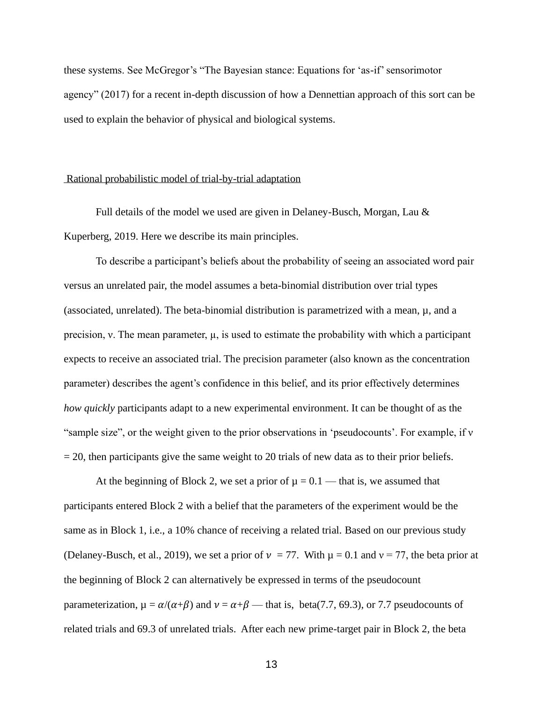these systems. See McGregor's "The Bayesian stance: Equations for 'as-if' sensorimotor agency" (2017) for a recent in-depth discussion of how a Dennettian approach of this sort can be used to explain the behavior of physical and biological systems.

#### Rational probabilistic model of trial-by-trial adaptation

Full details of the model we used are given in Delaney-Busch, Morgan, Lau & Kuperberg, 2019. Here we describe its main principles.

To describe a participant's beliefs about the probability of seeing an associated word pair versus an unrelated pair, the model assumes a beta-binomial distribution over trial types (associated, unrelated). The beta-binomial distribution is parametrized with a mean,  $\mu$ , and a precision, v. The mean parameter,  $\mu$ , is used to estimate the probability with which a participant expects to receive an associated trial. The precision parameter (also known as the concentration parameter) describes the agent's confidence in this belief, and its prior effectively determines *how quickly* participants adapt to a new experimental environment. It can be thought of as the "sample size", or the weight given to the prior observations in 'pseudocounts'. For example, if v  $= 20$ , then participants give the same weight to 20 trials of new data as to their prior beliefs.

At the beginning of Block 2, we set a prior of  $\mu = 0.1$  — that is, we assumed that participants entered Block 2 with a belief that the parameters of the experiment would be the same as in Block 1, i.e., a 10% chance of receiving a related trial. Based on our previous study (Delaney-Busch, et al., 2019), we set a prior of  $v = 77$ . With  $\mu = 0.1$  and  $v = 77$ , the beta prior at the beginning of Block 2 can alternatively be expressed in terms of the pseudocount parameterization,  $\mu = \alpha/(\alpha+\beta)$  and  $\nu = \alpha+\beta$  — that is, beta(7.7, 69.3), or 7.7 pseudocounts of related trials and 69.3 of unrelated trials. After each new prime-target pair in Block 2, the beta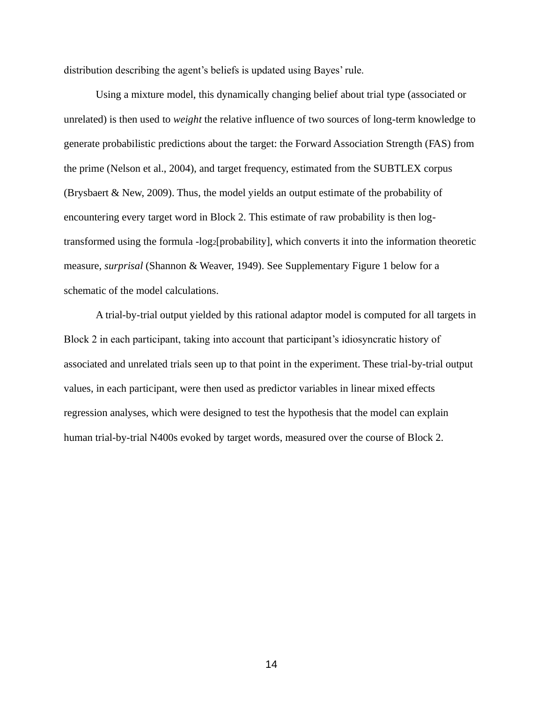distribution describing the agent's beliefs is updated using Bayes' rule.

Using a mixture model, this dynamically changing belief about trial type (associated or unrelated) is then used to *weight* the relative influence of two sources of long-term knowledge to generate probabilistic predictions about the target: the Forward Association Strength (FAS) from the prime (Nelson et al., 2004), and target frequency, estimated from the SUBTLEX corpus (Brysbaert & New, 2009). Thus, the model yields an output estimate of the probability of encountering every target word in Block 2. This estimate of raw probability is then logtransformed using the formula -log2[probability], which converts it into the information theoretic measure, *surprisal* (Shannon & Weaver, 1949). See Supplementary Figure 1 below for a schematic of the model calculations.

A trial-by-trial output yielded by this rational adaptor model is computed for all targets in Block 2 in each participant, taking into account that participant's idiosyncratic history of associated and unrelated trials seen up to that point in the experiment. These trial-by-trial output values, in each participant, were then used as predictor variables in linear mixed effects regression analyses, which were designed to test the hypothesis that the model can explain human trial-by-trial N400s evoked by target words, measured over the course of Block 2.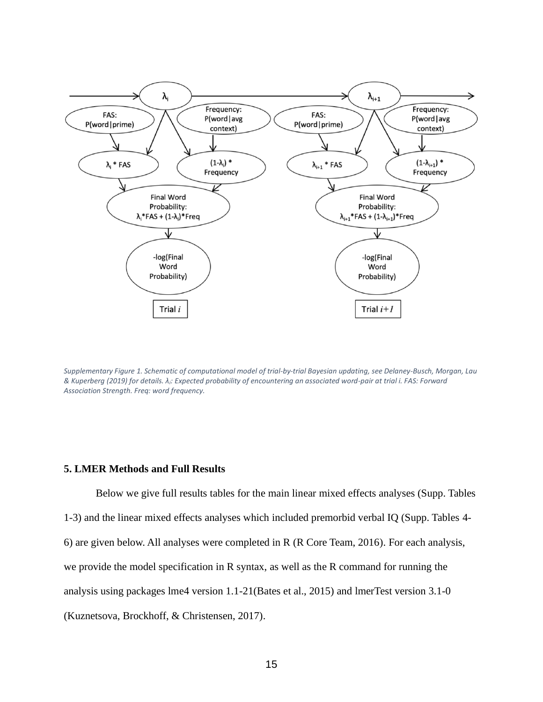

*Supplementary Figure 1. Schematic of computational model of trial-by-trial Bayesian updating, see Delaney-Busch, Morgan, Lau & Kuperberg (2019) for details. λi: Expected probability of encountering an associated word-pair at trial i. FAS: Forward Association Strength. Freq: word frequency.*

#### **5. LMER Methods and Full Results**

Below we give full results tables for the main linear mixed effects analyses (Supp. Tables 1-3) and the linear mixed effects analyses which included premorbid verbal IQ (Supp. Tables 4- 6) are given below. All analyses were completed in R (R Core Team, 2016). For each analysis, we provide the model specification in R syntax, as well as the R command for running the analysis using packages lme4 version 1.1-21(Bates et al., 2015) and lmerTest version 3.1-0 (Kuznetsova, Brockhoff, & Christensen, 2017).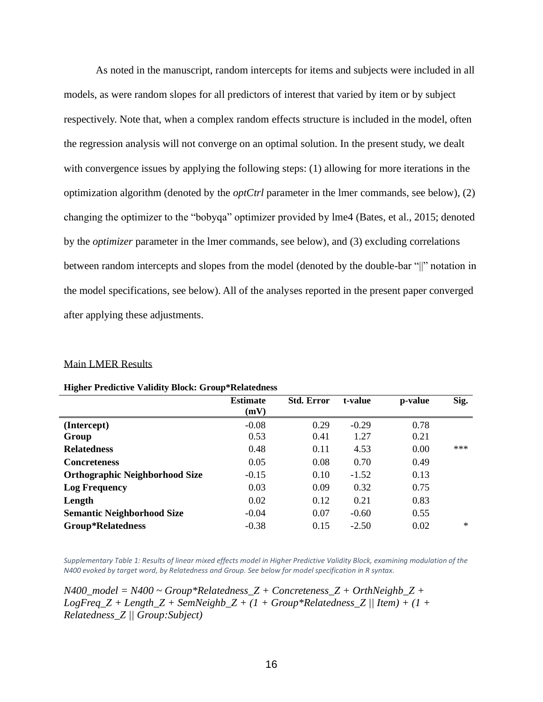As noted in the manuscript, random intercepts for items and subjects were included in all models, as were random slopes for all predictors of interest that varied by item or by subject respectively. Note that, when a complex random effects structure is included in the model, often the regression analysis will not converge on an optimal solution. In the present study, we dealt with convergence issues by applying the following steps: (1) allowing for more iterations in the optimization algorithm (denoted by the *optCtrl* parameter in the lmer commands, see below), (2) changing the optimizer to the "bobyqa" optimizer provided by lme4 (Bates, et al., 2015; denoted by the *optimizer* parameter in the lmer commands, see below), and (3) excluding correlations between random intercepts and slopes from the model (denoted by the double-bar "||" notation in the model specifications, see below). All of the analyses reported in the present paper converged after applying these adjustments.

#### Main LMER Results

|  |  | <b>Higher Predictive Validity Block: Group*Relatedness</b> |
|--|--|------------------------------------------------------------|
|--|--|------------------------------------------------------------|

|                                       | <b>Estimate</b><br>(mV) | <b>Std. Error</b> | t-value | p-value | Sig.   |
|---------------------------------------|-------------------------|-------------------|---------|---------|--------|
| (Intercept)                           | $-0.08$                 | 0.29              | $-0.29$ | 0.78    |        |
| Group                                 | 0.53                    | 0.41              | 1.27    | 0.21    |        |
| <b>Relatedness</b>                    | 0.48                    | 0.11              | 4.53    | 0.00    | ***    |
| <b>Concreteness</b>                   | 0.05                    | 0.08              | 0.70    | 0.49    |        |
| <b>Orthographic Neighborhood Size</b> | $-0.15$                 | 0.10              | $-1.52$ | 0.13    |        |
| <b>Log Frequency</b>                  | 0.03                    | 0.09              | 0.32    | 0.75    |        |
| Length                                | 0.02                    | 0.12              | 0.21    | 0.83    |        |
| <b>Semantic Neighborhood Size</b>     | $-0.04$                 | 0.07              | $-0.60$ | 0.55    |        |
| <b>Group*Relatedness</b>              | $-0.38$                 | 0.15              | $-2.50$ | 0.02    | $\ast$ |

*Supplementary Table 1: Results of linear mixed effects model in Higher Predictive Validity Block, examining modulation of the N400 evoked by target word, by Relatedness and Group. See below for model specification in R syntax.* 

*N400\_model = N400 ~ Group\*Relatedness\_Z + Concreteness\_Z + OrthNeighb\_Z +*   $LogFreq_Z + Length_Z + SemNeighbour_Z + (1 + Group *Relatedness_Z || Item) + (1 +$ *Relatedness\_Z || Group:Subject)*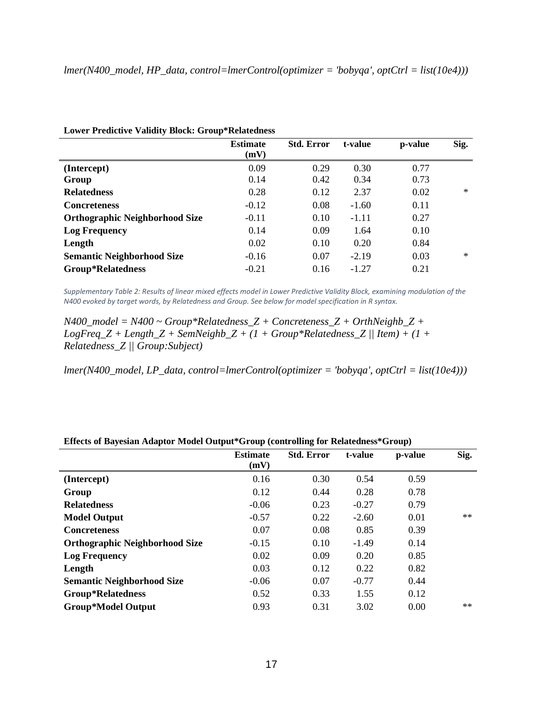|                                       | <b>Estimate</b><br>(mV) | <b>Std. Error</b> | t-value | p-value | Sig.   |
|---------------------------------------|-------------------------|-------------------|---------|---------|--------|
| (Intercept)                           | 0.09                    | 0.29              | 0.30    | 0.77    |        |
| Group                                 | 0.14                    | 0.42              | 0.34    | 0.73    |        |
| <b>Relatedness</b>                    | 0.28                    | 0.12              | 2.37    | 0.02    | $\ast$ |
| <b>Concreteness</b>                   | $-0.12$                 | 0.08              | $-1.60$ | 0.11    |        |
| <b>Orthographic Neighborhood Size</b> | $-0.11$                 | 0.10              | $-1.11$ | 0.27    |        |
| <b>Log Frequency</b>                  | 0.14                    | 0.09              | 1.64    | 0.10    |        |
| Length                                | 0.02                    | 0.10              | 0.20    | 0.84    |        |
| <b>Semantic Neighborhood Size</b>     | $-0.16$                 | 0.07              | $-2.19$ | 0.03    | $\ast$ |
| <b>Group*Relatedness</b>              | $-0.21$                 | 0.16              | $-1.27$ | 0.21    |        |

*Supplementary Table 2: Results of linear mixed effects model in Lower Predictive Validity Block, examining modulation of the N400 evoked by target words, by Relatedness and Group. See below for model specification in R syntax.*

*N400\_model = N400 ~ Group\*Relatedness\_Z + Concreteness\_Z + OrthNeighb\_Z +*   $LogFreq_Z + Length_Z + SemNeighbour_Z + (1 + Group*Relatedness_Z || Item) + (1 +$ *Relatedness\_Z || Group:Subject)*

*lmer(N400\_model, LP\_data, control=lmerControl(optimizer = 'bobyqa', optCtrl = list(10e4)))*

|                                       | <b>Estimate</b><br>(mV) | <b>Std. Error</b> | t-value | p-value | Sig. |
|---------------------------------------|-------------------------|-------------------|---------|---------|------|
| (Intercept)                           | 0.16                    | 0.30              | 0.54    | 0.59    |      |
| Group                                 | 0.12                    | 0.44              | 0.28    | 0.78    |      |
| <b>Relatedness</b>                    | $-0.06$                 | 0.23              | $-0.27$ | 0.79    |      |
| <b>Model Output</b>                   | $-0.57$                 | 0.22              | $-2.60$ | 0.01    | $**$ |
| <b>Concreteness</b>                   | 0.07                    | 0.08              | 0.85    | 0.39    |      |
| <b>Orthographic Neighborhood Size</b> | $-0.15$                 | 0.10              | $-1.49$ | 0.14    |      |
| <b>Log Frequency</b>                  | 0.02                    | 0.09              | 0.20    | 0.85    |      |
| Length                                | 0.03                    | 0.12              | 0.22    | 0.82    |      |
| <b>Semantic Neighborhood Size</b>     | $-0.06$                 | 0.07              | $-0.77$ | 0.44    |      |
| <b>Group*Relatedness</b>              | 0.52                    | 0.33              | 1.55    | 0.12    |      |
| <b>Group*Model Output</b>             | 0.93                    | 0.31              | 3.02    | 0.00    | $**$ |

**Effects of Bayesian Adaptor Model Output\*Group (controlling for Relatedness\*Group)**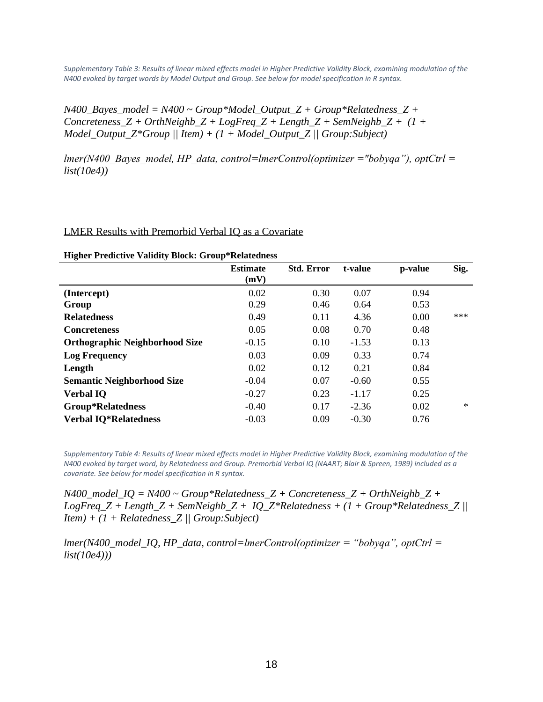*Supplementary Table 3: Results of linear mixed effects model in Higher Predictive Validity Block, examining modulation of the N400 evoked by target words by Model Output and Group. See below for model specification in R syntax.*

*N400* Bayes model =  $N400 \sim$  Group\*Model Output Z + Group\*Relatedness Z +  $\overline{a}$  $Concreteness_Z + OrthNeighbour_Z + LogFreq_Z + Length_Z + SemNeighbour_Z + (1 +$ *Model\_Output\_Z\*Group || Item) + (1 + Model\_Output\_Z || Group:Subject)*

*lmer(N400\_Bayes\_model, HP\_data, control=lmerControl(optimizer ="bobyqa"), optCtrl = list(10e4))*

#### LMER Results with Premorbid Verbal IQ as a Covariate

| <b>Estimate</b> | <b>Std. Error</b> | t-value | p-value | Sig.   |
|-----------------|-------------------|---------|---------|--------|
|                 |                   |         |         |        |
| 0.02            | 0.30              | 0.07    | 0.94    |        |
| 0.29            | 0.46              | 0.64    | 0.53    |        |
| 0.49            | 0.11              | 4.36    | 0.00    | $***$  |
| 0.05            | 0.08              | 0.70    | 0.48    |        |
| $-0.15$         | 0.10              | $-1.53$ | 0.13    |        |
| 0.03            | 0.09              | 0.33    | 0.74    |        |
| 0.02            | 0.12              | 0.21    | 0.84    |        |
| $-0.04$         | 0.07              | $-0.60$ | 0.55    |        |
| $-0.27$         | 0.23              | $-1.17$ | 0.25    |        |
| $-0.40$         | 0.17              | $-2.36$ | 0.02    | $\ast$ |
| $-0.03$         | 0.09              | $-0.30$ | 0.76    |        |
|                 | (mV)              |         |         |        |

#### **Higher Predictive Validity Block: Group\*Relatedness**

*Supplementary Table 4: Results of linear mixed effects model in Higher Predictive Validity Block, examining modulation of the N400 evoked by target word, by Relatedness and Group. Premorbid Verbal IQ (NAART; Blair & Spreen, 1989) included as a covariate. See below for model specification in R syntax.*

*N400\_model\_IQ = N400 ~ Group\*Relatedness\_Z + Concreteness\_Z + OrthNeighb\_Z + LogFreq\_Z + Length\_Z + SemNeighb\_Z + IQ\_Z\*Relatedness + (1 + Group\*Relatedness\_Z || Item) + (1 + Relatedness\_Z || Group:Subject)*

*lmer(N400\_model\_IQ, HP\_data, control=lmerControl(optimizer = "bobyqa", optCtrl = list(10e4)))*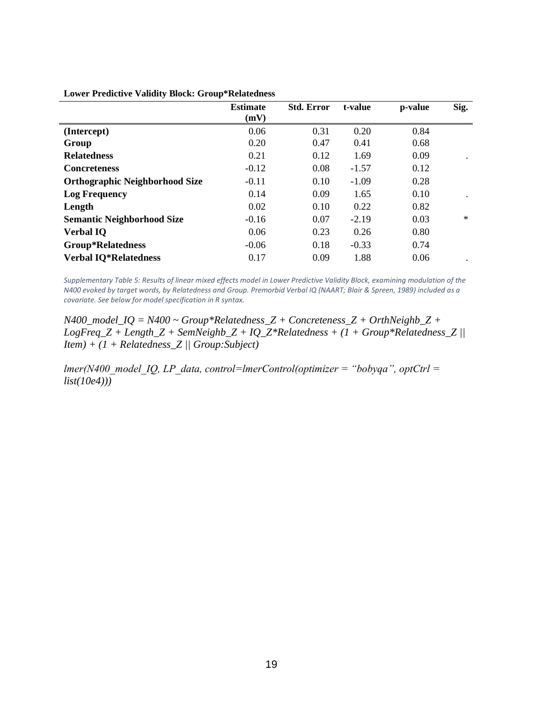|                                       | <b>Estimate</b><br>(mV) | <b>Std. Error</b> | t-value | p-value | Sig.   |
|---------------------------------------|-------------------------|-------------------|---------|---------|--------|
| (Intercept)                           | 0.06                    | 0.31              | 0.20    | 0.84    |        |
| Group                                 | 0.20                    | 0.47              | 0.41    | 0.68    |        |
| <b>Relatedness</b>                    | 0.21                    | 0.12              | 1.69    | 0.09    |        |
| <b>Concreteness</b>                   | $-0.12$                 | 0.08              | $-1.57$ | 0.12    |        |
| <b>Orthographic Neighborhood Size</b> | $-0.11$                 | 0.10              | $-1.09$ | 0.28    |        |
| <b>Log Frequency</b>                  | 0.14                    | 0.09              | 1.65    | 0.10    |        |
| Length                                | 0.02                    | 0.10              | 0.22    | 0.82    |        |
| <b>Semantic Neighborhood Size</b>     | $-0.16$                 | 0.07              | $-2.19$ | 0.03    | $\ast$ |
| <b>Verbal IQ</b>                      | 0.06                    | 0.23              | 0.26    | 0.80    |        |
| <b>Group*Relatedness</b>              | $-0.06$                 | 0.18              | $-0.33$ | 0.74    |        |
| <b>Verbal IQ*Relatedness</b>          | 0.17                    | 0.09              | 1.88    | 0.06    |        |

#### **Lower Predictive Validity Block: Group\*Relatedness**

*Supplementary Table 5: Results of linear mixed effects model in Lower Predictive Validity Block, examining modulation of the N400 evoked by target words, by Relatedness and Group. Premorbid Verbal IQ (NAART; Blair & Spreen, 1989) included as a covariate. See below for model specification in R syntax.*

*N400\_model\_IQ = N400 ~ Group\*Relatedness\_Z + Concreteness\_Z + OrthNeighb\_Z + LogFreq\_Z + Length\_Z + SemNeighb\_Z + IQ\_Z\*Relatedness + (1 + Group\*Relatedness\_Z || Item) + (1 + Relatedness\_Z || Group:Subject)*

*lmer(N400\_model\_IQ, LP\_data, control=lmerControl(optimizer = "bobyqa", optCtrl = list(10e4)))*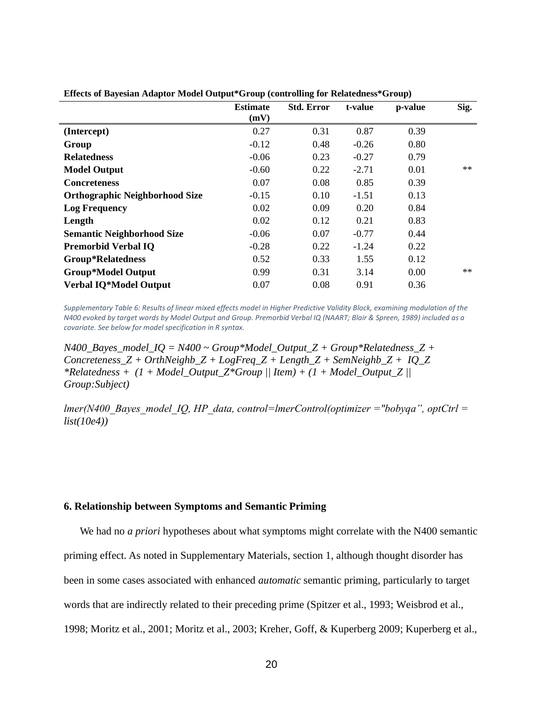|                                       | <b>Estimate</b> | <b>Std. Error</b> | t-value | p-value | Sig. |
|---------------------------------------|-----------------|-------------------|---------|---------|------|
|                                       | (mV)            |                   |         |         |      |
| (Intercept)                           | 0.27            | 0.31              | 0.87    | 0.39    |      |
| Group                                 | $-0.12$         | 0.48              | $-0.26$ | 0.80    |      |
| <b>Relatedness</b>                    | $-0.06$         | 0.23              | $-0.27$ | 0.79    |      |
| <b>Model Output</b>                   | $-0.60$         | 0.22              | $-2.71$ | 0.01    | $**$ |
| <b>Concreteness</b>                   | 0.07            | 0.08              | 0.85    | 0.39    |      |
| <b>Orthographic Neighborhood Size</b> | $-0.15$         | 0.10              | $-1.51$ | 0.13    |      |
| <b>Log Frequency</b>                  | 0.02            | 0.09              | 0.20    | 0.84    |      |
| Length                                | 0.02            | 0.12              | 0.21    | 0.83    |      |
| <b>Semantic Neighborhood Size</b>     | $-0.06$         | 0.07              | $-0.77$ | 0.44    |      |
| <b>Premorbid Verbal IQ</b>            | $-0.28$         | 0.22              | $-1.24$ | 0.22    |      |
| <b>Group*Relatedness</b>              | 0.52            | 0.33              | 1.55    | 0.12    |      |
| <b>Group*Model Output</b>             | 0.99            | 0.31              | 3.14    | 0.00    | $**$ |
| Verbal IQ*Model Output                | 0.07            | 0.08              | 0.91    | 0.36    |      |

**Effects of Bayesian Adaptor Model Output\*Group (controlling for Relatedness\*Group)**

*Supplementary Table 6: Results of linear mixed effects model in Higher Predictive Validity Block, examining modulation of the N400 evoked by target words by Model Output and Group. Premorbid Verbal IQ (NAART; Blair & Spreen, 1989) included as a covariate. See below for model specification in R syntax.*

*N400\_Bayes\_model\_IQ = N400 ~ Group\*Model\_Output\_Z + Group\*Relatedness\_Z +*  $Concreteness_Z + OrthNeighbour_Z + LogFreq_Z + Length_Z + SemNeighbour_Z + IQ_Z$ *\*Relatedness + (1 + Model Output Z\*Group || Item) + (1 + Model Output Z || Group:Subject)*

*lmer(N400\_Bayes\_model\_IQ, HP\_data, control=lmerControl(optimizer ="bobyqa", optCtrl = list(10e4))*

#### **6. Relationship between Symptoms and Semantic Priming**

We had no *a priori* hypotheses about what symptoms might correlate with the N400 semantic priming effect. As noted in Supplementary Materials, section 1, although thought disorder has been in some cases associated with enhanced *automatic* semantic priming, particularly to target words that are indirectly related to their preceding prime (Spitzer et al., 1993; Weisbrod et al., 1998; Moritz et al., 2001; Moritz et al., 2003; Kreher, Goff, & Kuperberg 2009; Kuperberg et al.,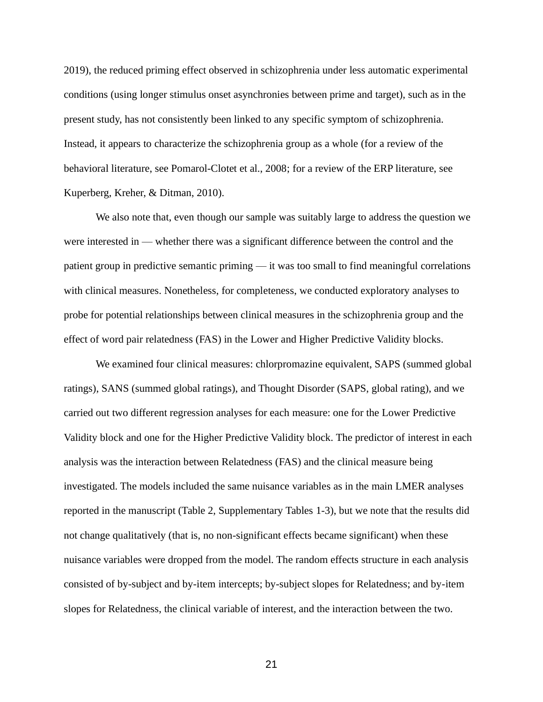2019), the reduced priming effect observed in schizophrenia under less automatic experimental conditions (using longer stimulus onset asynchronies between prime and target), such as in the present study, has not consistently been linked to any specific symptom of schizophrenia. Instead, it appears to characterize the schizophrenia group as a whole (for a review of the behavioral literature, see Pomarol-Clotet et al., 2008; for a review of the ERP literature, see Kuperberg, Kreher, & Ditman, 2010).

We also note that, even though our sample was suitably large to address the question we were interested in — whether there was a significant difference between the control and the patient group in predictive semantic priming — it was too small to find meaningful correlations with clinical measures. Nonetheless, for completeness, we conducted exploratory analyses to probe for potential relationships between clinical measures in the schizophrenia group and the effect of word pair relatedness (FAS) in the Lower and Higher Predictive Validity blocks.

We examined four clinical measures: chlorpromazine equivalent, SAPS (summed global ratings), SANS (summed global ratings), and Thought Disorder (SAPS, global rating), and we carried out two different regression analyses for each measure: one for the Lower Predictive Validity block and one for the Higher Predictive Validity block. The predictor of interest in each analysis was the interaction between Relatedness (FAS) and the clinical measure being investigated. The models included the same nuisance variables as in the main LMER analyses reported in the manuscript (Table 2, Supplementary Tables 1-3), but we note that the results did not change qualitatively (that is, no non-significant effects became significant) when these nuisance variables were dropped from the model. The random effects structure in each analysis consisted of by-subject and by-item intercepts; by-subject slopes for Relatedness; and by-item slopes for Relatedness, the clinical variable of interest, and the interaction between the two.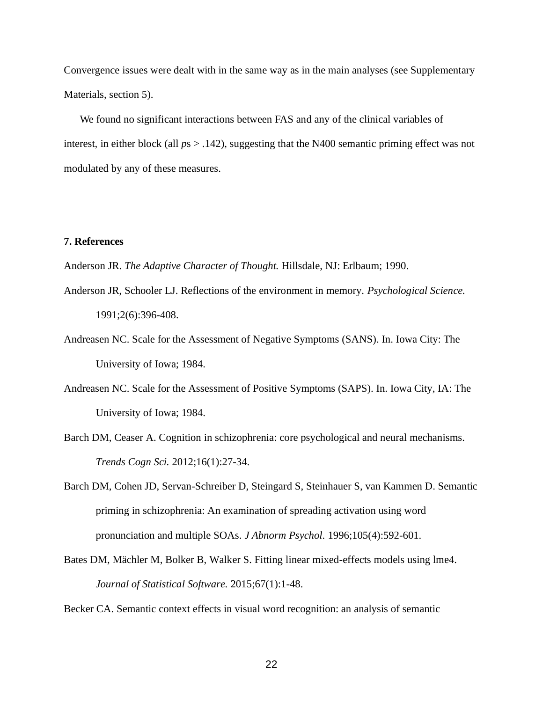Convergence issues were dealt with in the same way as in the main analyses (see Supplementary Materials, section 5).

We found no significant interactions between FAS and any of the clinical variables of interest, in either block (all  $ps > .142$ ), suggesting that the N400 semantic priming effect was not modulated by any of these measures.

### **7. References**

Anderson JR. *The Adaptive Character of Thought.* Hillsdale, NJ: Erlbaum; 1990.

- Anderson JR, Schooler LJ. Reflections of the environment in memory. *Psychological Science.*  1991;2(6):396-408.
- Andreasen NC. Scale for the Assessment of Negative Symptoms (SANS). In. Iowa City: The University of Iowa; 1984.
- Andreasen NC. Scale for the Assessment of Positive Symptoms (SAPS). In. Iowa City, IA: The University of Iowa; 1984.
- Barch DM, Ceaser A. Cognition in schizophrenia: core psychological and neural mechanisms. *Trends Cogn Sci.* 2012;16(1):27-34.
- Barch DM, Cohen JD, Servan-Schreiber D, Steingard S, Steinhauer S, van Kammen D. Semantic priming in schizophrenia: An examination of spreading activation using word pronunciation and multiple SOAs. *J Abnorm Psychol.* 1996;105(4):592-601.
- Bates DM, Mächler M, Bolker B, Walker S. Fitting linear mixed-effects models using lme4. *Journal of Statistical Software.* 2015;67(1):1-48.

Becker CA. Semantic context effects in visual word recognition: an analysis of semantic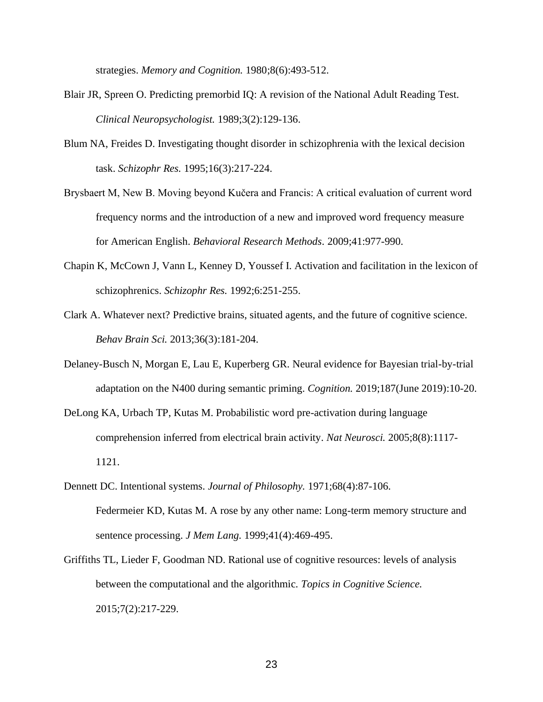strategies. *Memory and Cognition.* 1980;8(6):493-512.

- Blair JR, Spreen O. Predicting premorbid IQ: A revision of the National Adult Reading Test. *Clinical Neuropsychologist.* 1989;3(2):129-136.
- Blum NA, Freides D. Investigating thought disorder in schizophrenia with the lexical decision task. *Schizophr Res.* 1995;16(3):217-224.
- Brysbaert M, New B. Moving beyond Kučera and Francis: A critical evaluation of current word frequency norms and the introduction of a new and improved word frequency measure for American English. *Behavioral Research Methods.* 2009;41:977-990.
- Chapin K, McCown J, Vann L, Kenney D, Youssef I. Activation and facilitation in the lexicon of schizophrenics. *Schizophr Res.* 1992;6:251-255.
- Clark A. Whatever next? Predictive brains, situated agents, and the future of cognitive science. *Behav Brain Sci.* 2013;36(3):181-204.
- Delaney-Busch N, Morgan E, Lau E, Kuperberg GR. Neural evidence for Bayesian trial-by-trial adaptation on the N400 during semantic priming. *Cognition.* 2019;187(June 2019):10-20.
- DeLong KA, Urbach TP, Kutas M. Probabilistic word pre-activation during language comprehension inferred from electrical brain activity. *Nat Neurosci.* 2005;8(8):1117- 1121.
- Dennett DC. Intentional systems. *Journal of Philosophy.* 1971;68(4):87-106. Federmeier KD, Kutas M. A rose by any other name: Long-term memory structure and sentence processing. *J Mem Lang.* 1999;41(4):469-495.
- Griffiths TL, Lieder F, Goodman ND. Rational use of cognitive resources: levels of analysis between the computational and the algorithmic. *Topics in Cognitive Science.*  2015;7(2):217-229.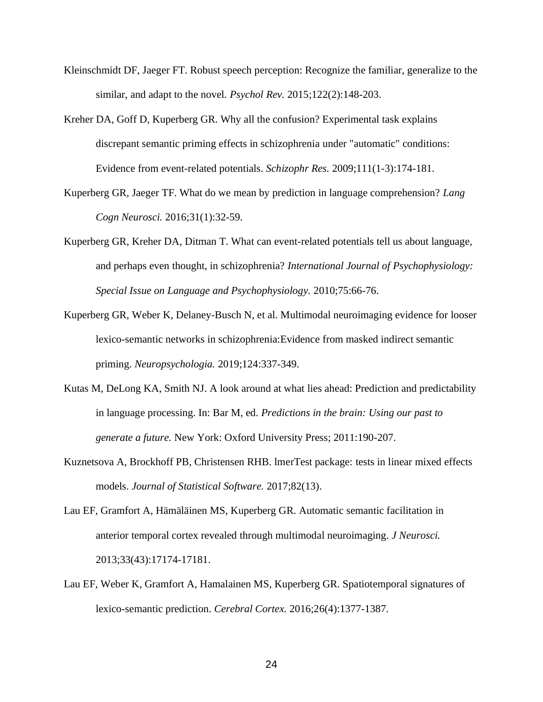- Kleinschmidt DF, Jaeger FT. Robust speech perception: Recognize the familiar, generalize to the similar, and adapt to the novel. *Psychol Rev.* 2015;122(2):148-203.
- Kreher DA, Goff D, Kuperberg GR. Why all the confusion? Experimental task explains discrepant semantic priming effects in schizophrenia under "automatic" conditions: Evidence from event-related potentials. *Schizophr Res.* 2009;111(1-3):174-181.
- Kuperberg GR, Jaeger TF. What do we mean by prediction in language comprehension? *Lang Cogn Neurosci.* 2016;31(1):32-59.
- Kuperberg GR, Kreher DA, Ditman T. What can event-related potentials tell us about language, and perhaps even thought, in schizophrenia? *International Journal of Psychophysiology: Special Issue on Language and Psychophysiology.* 2010;75:66-76.
- Kuperberg GR, Weber K, Delaney-Busch N, et al. Multimodal neuroimaging evidence for looser lexico-semantic networks in schizophrenia:Evidence from masked indirect semantic priming. *Neuropsychologia.* 2019;124:337-349.
- Kutas M, DeLong KA, Smith NJ. A look around at what lies ahead: Prediction and predictability in language processing. In: Bar M, ed. *Predictions in the brain: Using our past to generate a future.* New York: Oxford University Press; 2011:190-207.
- Kuznetsova A, Brockhoff PB, Christensen RHB. lmerTest package: tests in linear mixed effects models. *Journal of Statistical Software.* 2017;82(13).
- Lau EF, Gramfort A, Hämäläinen MS, Kuperberg GR. Automatic semantic facilitation in anterior temporal cortex revealed through multimodal neuroimaging. *J Neurosci.*  2013;33(43):17174-17181.
- Lau EF, Weber K, Gramfort A, Hamalainen MS, Kuperberg GR. Spatiotemporal signatures of lexico-semantic prediction. *Cerebral Cortex.* 2016;26(4):1377-1387.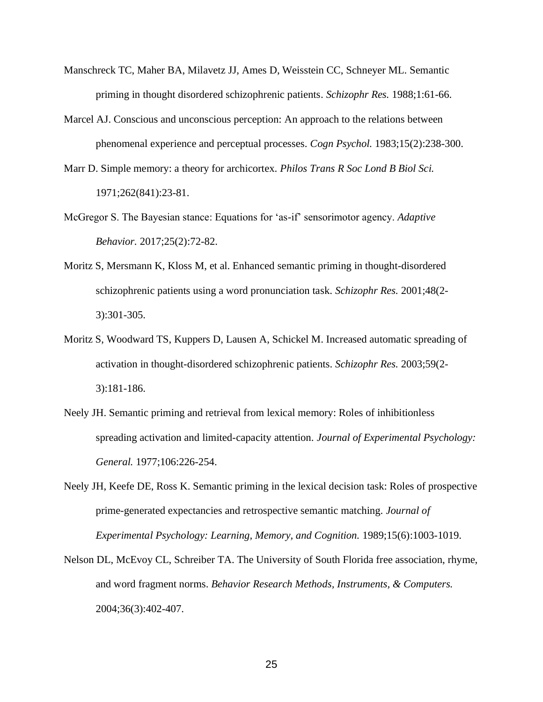- Manschreck TC, Maher BA, Milavetz JJ, Ames D, Weisstein CC, Schneyer ML. Semantic priming in thought disordered schizophrenic patients. *Schizophr Res.* 1988;1:61-66.
- Marcel AJ. Conscious and unconscious perception: An approach to the relations between phenomenal experience and perceptual processes. *Cogn Psychol.* 1983;15(2):238-300.
- Marr D. Simple memory: a theory for archicortex. *Philos Trans R Soc Lond B Biol Sci.*  1971;262(841):23-81.
- McGregor S. The Bayesian stance: Equations for 'as-if' sensorimotor agency. *Adaptive Behavior.* 2017;25(2):72-82.
- Moritz S, Mersmann K, Kloss M, et al. Enhanced semantic priming in thought-disordered schizophrenic patients using a word pronunciation task. *Schizophr Res.* 2001;48(2- 3):301-305.
- Moritz S, Woodward TS, Kuppers D, Lausen A, Schickel M. Increased automatic spreading of activation in thought-disordered schizophrenic patients. *Schizophr Res.* 2003;59(2- 3):181-186.
- Neely JH. Semantic priming and retrieval from lexical memory: Roles of inhibitionless spreading activation and limited-capacity attention. *Journal of Experimental Psychology: General.* 1977;106:226-254.
- Neely JH, Keefe DE, Ross K. Semantic priming in the lexical decision task: Roles of prospective prime-generated expectancies and retrospective semantic matching. *Journal of Experimental Psychology: Learning, Memory, and Cognition.* 1989;15(6):1003-1019.
- Nelson DL, McEvoy CL, Schreiber TA. The University of South Florida free association, rhyme, and word fragment norms. *Behavior Research Methods, Instruments, & Computers.*  2004;36(3):402-407.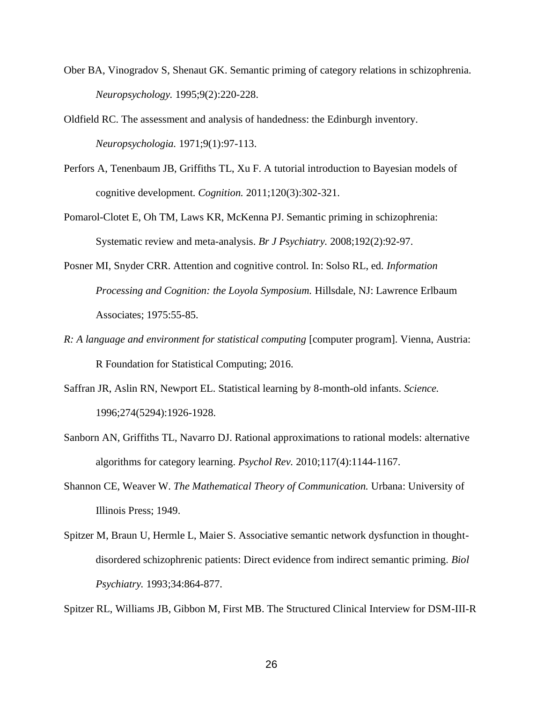- Ober BA, Vinogradov S, Shenaut GK. Semantic priming of category relations in schizophrenia. *Neuropsychology.* 1995;9(2):220-228.
- Oldfield RC. The assessment and analysis of handedness: the Edinburgh inventory. *Neuropsychologia.* 1971;9(1):97-113.
- Perfors A, Tenenbaum JB, Griffiths TL, Xu F. A tutorial introduction to Bayesian models of cognitive development. *Cognition.* 2011;120(3):302-321.
- Pomarol-Clotet E, Oh TM, Laws KR, McKenna PJ. Semantic priming in schizophrenia: Systematic review and meta-analysis. *Br J Psychiatry.* 2008;192(2):92-97.
- Posner MI, Snyder CRR. Attention and cognitive control. In: Solso RL, ed. *Information Processing and Cognition: the Loyola Symposium.* Hillsdale, NJ: Lawrence Erlbaum Associates; 1975:55-85.
- *R: A language and environment for statistical computing* [computer program]. Vienna, Austria: R Foundation for Statistical Computing; 2016.
- Saffran JR, Aslin RN, Newport EL. Statistical learning by 8-month-old infants. *Science.*  1996;274(5294):1926-1928.
- Sanborn AN, Griffiths TL, Navarro DJ. Rational approximations to rational models: alternative algorithms for category learning. *Psychol Rev.* 2010;117(4):1144-1167.
- Shannon CE, Weaver W. *The Mathematical Theory of Communication.* Urbana: University of Illinois Press; 1949.
- Spitzer M, Braun U, Hermle L, Maier S. Associative semantic network dysfunction in thoughtdisordered schizophrenic patients: Direct evidence from indirect semantic priming. *Biol Psychiatry.* 1993;34:864-877.

Spitzer RL, Williams JB, Gibbon M, First MB. The Structured Clinical Interview for DSM-III-R